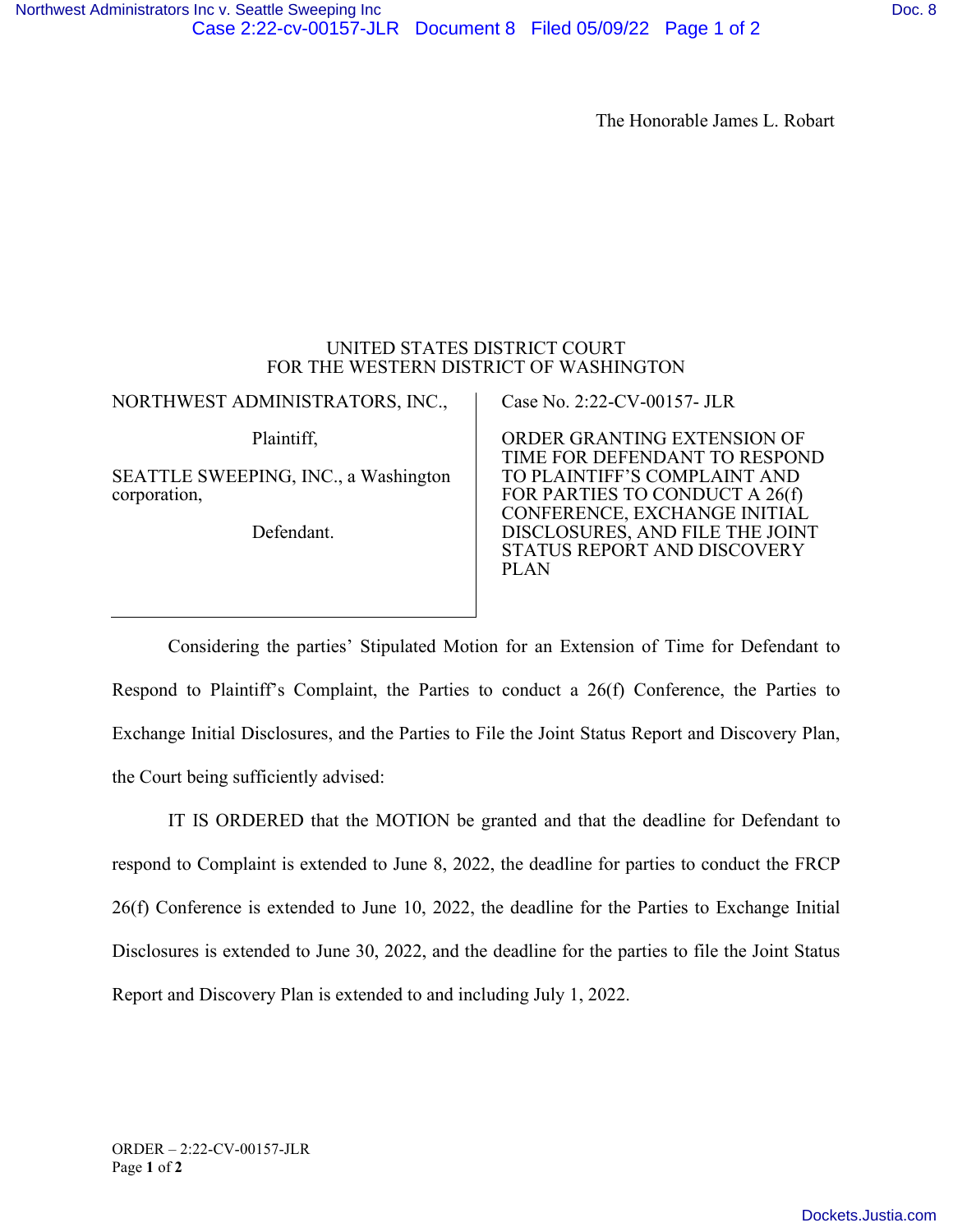## UNITED STATES DISTRICT COURT FOR THE WESTERN DISTRICT OF WASHINGTON

| NORTHWEST ADMINISTRATORS, INC.,                                    | Case No. 2:22-CV-00157- JLR                                                                                                                                    |
|--------------------------------------------------------------------|----------------------------------------------------------------------------------------------------------------------------------------------------------------|
| Plaintiff,<br>SEATTLE SWEEPING, INC., a Washington<br>corporation, | ORDER GRANTING EXTENSION OF<br>TIME FOR DEFENDANT TO RESPOND<br>TO PLAINTIFF'S COMPLAINT AND<br>FOR PARTIES TO CONDUCT A 26(f)<br>CONFERENCE, EXCHANGE INITIAL |
| Defendant.                                                         | DISCLOSURES, AND FILE THE JOINT<br>STATUS REPORT AND DISCOVERY<br><b>PLAN</b>                                                                                  |

Considering the parties' Stipulated Motion for an Extension of Time for Defendant to Respond to Plaintiff's Complaint, the Parties to conduct a 26(f) Conference, the Parties to Exchange Initial Disclosures, and the Parties to File the Joint Status Report and Discovery Plan, the Court being sufficiently advised:

IT IS ORDERED that the MOTION be granted and that the deadline for Defendant to respond to Complaint is extended to June 8, 2022, the deadline for parties to conduct the FRCP 26(f) Conference is extended to June 10, 2022, the deadline for the Parties to Exchange Initial Disclosures is extended to June 30, 2022, and the deadline for the parties to file the Joint Status Report and Discovery Plan is extended to and including July 1, 2022.